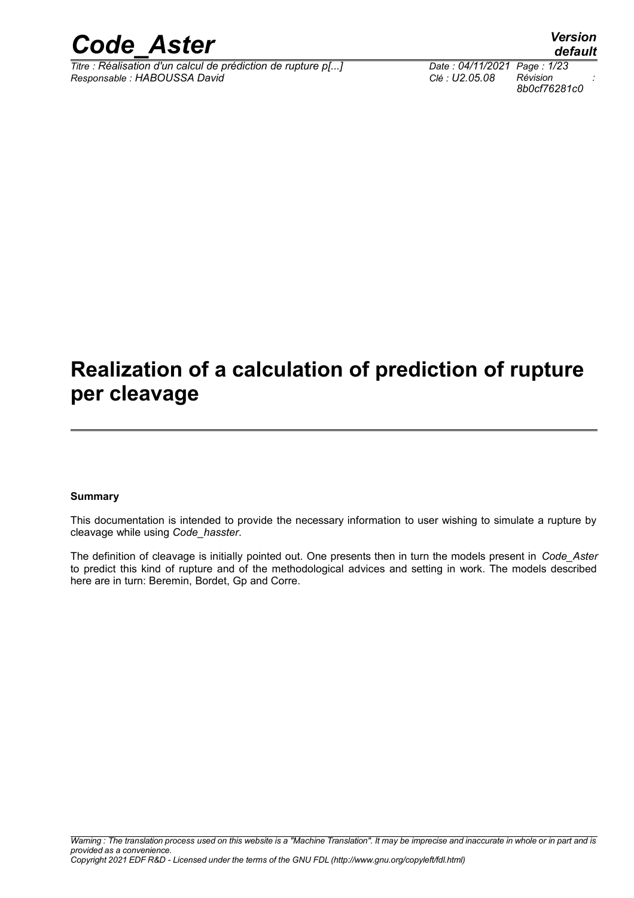

*Titre : Réalisation d'un calcul de prédiction de rupture p[...] Date : 04/11/2021 Page : 1/23 Responsable : HABOUSSA David Clé : U2.05.08 Révision :*

## **Realization of a calculation of prediction of rupture per cleavage**

#### **Summary**

This documentation is intended to provide the necessary information to user wishing to simulate a rupture by cleavage while using *Code\_hasster*.

The definition of cleavage is initially pointed out. One presents then in turn the models present in *Code\_Aster* to predict this kind of rupture and of the methodological advices and setting in work. The models described here are in turn: Beremin, Bordet, Gp and Corre.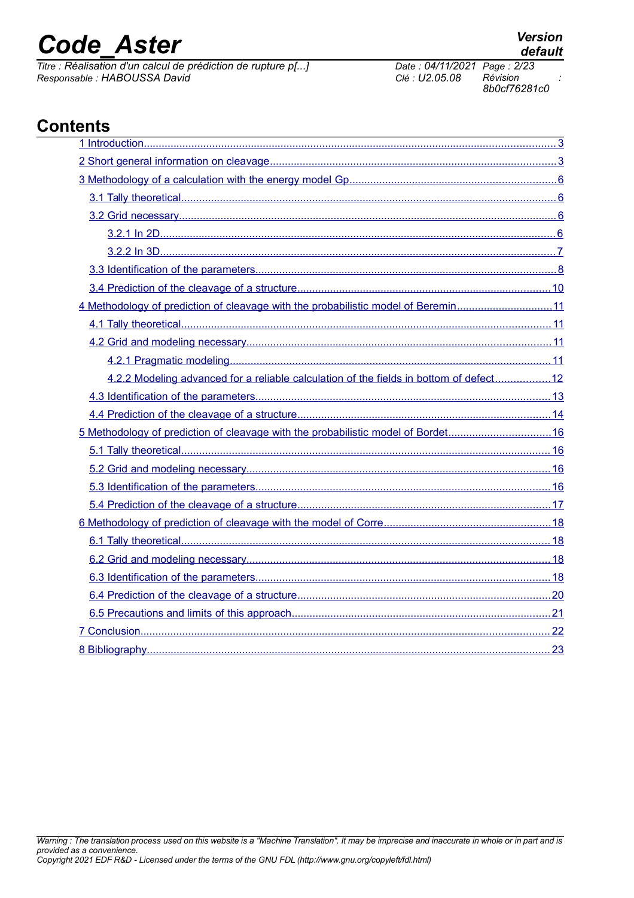*Titre : Réalisation d'un calcul de prédiction de rupture p[...] Date : 04/11/2021 Page : 2*<br> *Responsable : HABOUSSA David Clé : U2.05.08 Révision Responsable : HABOUSSA David Clé : U2.05.08 Révision :*

| 4 Methodology of prediction of cleavage with the probabilistic model of Beremin11      |  |
|----------------------------------------------------------------------------------------|--|
|                                                                                        |  |
|                                                                                        |  |
|                                                                                        |  |
| 4.2.2 Modeling advanced for a reliable calculation of the fields in bottom of defect12 |  |
|                                                                                        |  |
|                                                                                        |  |
| 5 Methodology of prediction of cleavage with the probabilistic model of Bordet16       |  |
|                                                                                        |  |
|                                                                                        |  |
|                                                                                        |  |
|                                                                                        |  |
|                                                                                        |  |
|                                                                                        |  |
|                                                                                        |  |
|                                                                                        |  |
|                                                                                        |  |
|                                                                                        |  |
|                                                                                        |  |
|                                                                                        |  |
|                                                                                        |  |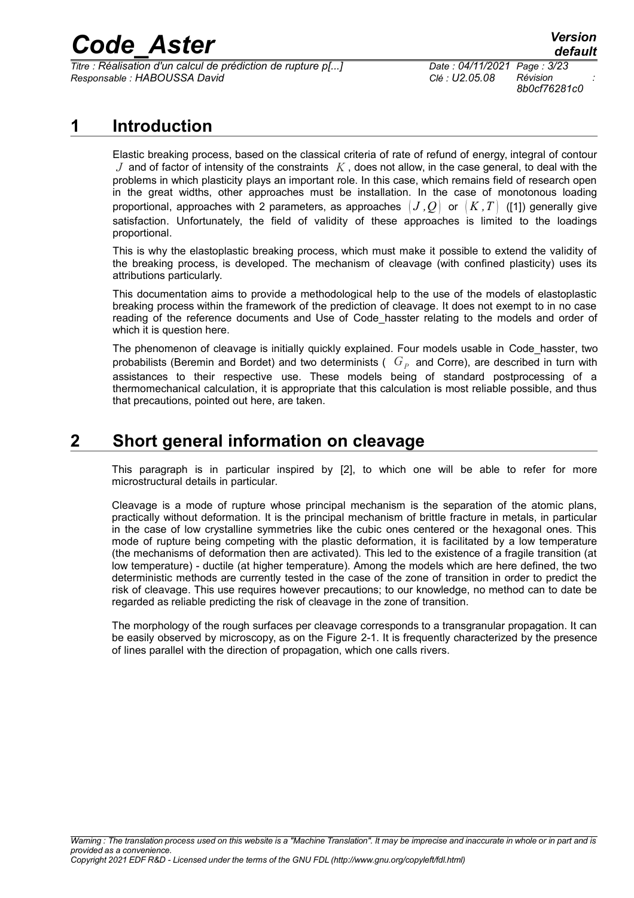*Titre : Réalisation d'un calcul de prédiction de rupture p[...] Date : 04/11/2021 Page : 3/23 Responsable : HABOUSSA David Clé : U2.05.08 Révision :*

*8b0cf76281c0*

## **1 Introduction**

<span id="page-2-1"></span>Elastic breaking process, based on the classical criteria of rate of refund of energy, integral of contour *J* and of factor of intensity of the constraints *K* , does not allow, in the case general, to deal with the problems in which plasticity plays an important role. In this case, which remains field of research open in the great widths, other approaches must be installation. In the case of monotonous loading proportional, approaches with 2 parameters, as approaches  $(J, Q)$  or  $(K, T)$  [\(\[1\]\)](#page-22-1) generally give satisfaction. Unfortunately, the field of validity of these approaches is limited to the loadings proportional.

This is why the elastoplastic breaking process, which must make it possible to extend the validity of the breaking process, is developed. The mechanism of cleavage (with confined plasticity) uses its attributions particularly.

This documentation aims to provide a methodological help to the use of the models of elastoplastic breaking process within the framework of the prediction of cleavage. It does not exempt to in no case reading of the reference documents and Use of Code hasster relating to the models and order of which it is question here.

The phenomenon of cleavage is initially quickly explained. Four models usable in Code hasster, two probabilists (Beremin and Bordet) and two determinists (  $|G_P|$  and Corre), are described in turn with assistances to their respective use. These models being of standard postprocessing of a thermomechanical calculation, it is appropriate that this calculation is most reliable possible, and thus that precautions, pointed out here, are taken.

## **2 Short general information on cleavage**

<span id="page-2-0"></span>This paragraph is in particular inspired by [\[2\],](#page-22-2) to which one will be able to refer for more microstructural details in particular.

Cleavage is a mode of rupture whose principal mechanism is the separation of the atomic plans, practically without deformation. It is the principal mechanism of brittle fracture in metals, in particular in the case of low crystalline symmetries like the cubic ones centered or the hexagonal ones. This mode of rupture being competing with the plastic deformation, it is facilitated by a low temperature (the mechanisms of deformation then are activated). This led to the existence of a fragile transition (at low temperature) - ductile (at higher temperature). Among the models which are here defined, the two deterministic methods are currently tested in the case of the zone of transition in order to predict the risk of cleavage. This use requires however precautions; to our knowledge, no method can to date be regarded as reliable predicting the risk of cleavage in the zone of transition.

The morphology of the rough surfaces per cleavage corresponds to a transgranular propagation. It can be easily observed by microscopy, as on the Figure [2-1.](#page-3-0) It is frequently characterized by the presence of lines parallel with the direction of propagation, which one calls rivers.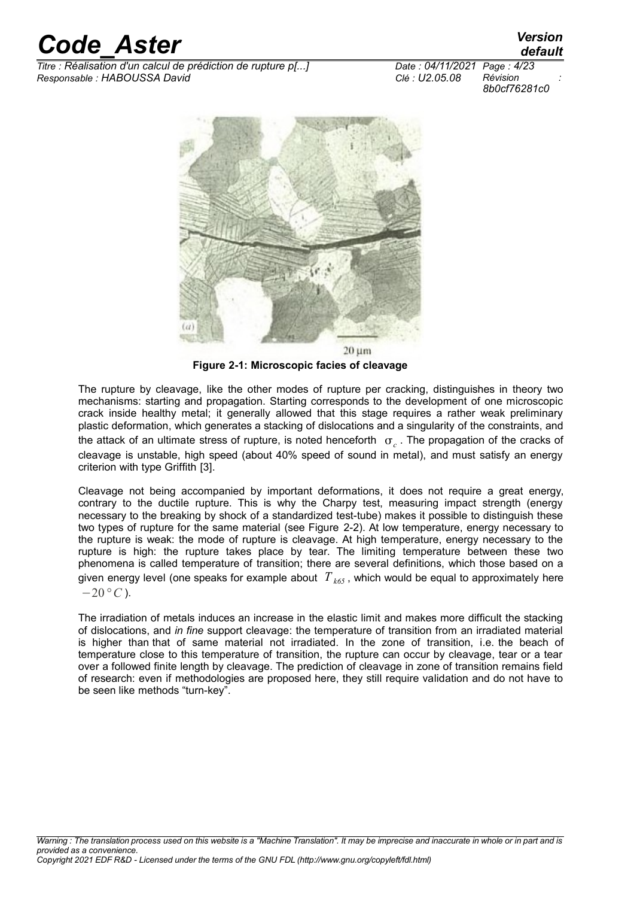*Titre : Réalisation d'un calcul de prédiction de rupture p[...] Date : 04/11/2021 Page : 4/23 Responsable : HABOUSSA David Clé : U2.05.08 Révision :*

*default*

*8b0cf76281c0*



**Figure 2-1: Microscopic facies of cleavage**

<span id="page-3-0"></span>The rupture by cleavage, like the other modes of rupture per cracking, distinguishes in theory two mechanisms: starting and propagation. Starting corresponds to the development of one microscopic crack inside healthy metal; it generally allowed that this stage requires a rather weak preliminary plastic deformation, which generates a stacking of dislocations and a singularity of the constraints, and the attack of an ultimate stress of rupture, is noted henceforth  $\sigma_c$  . The propagation of the cracks of cleavage is unstable, high speed (about 40% speed of sound in metal), and must satisfy an energy criterion with type Griffith [\[3\].](#page-22-3)

Cleavage not being accompanied by important deformations, it does not require a great energy, contrary to the ductile rupture. This is why the Charpy test, measuring impact strength (energy necessary to the breaking by shock of a standardized test-tube) makes it possible to distinguish these two types of rupture for the same material (see Figure [2-2\)](#page-4-0). At low temperature, energy necessary to the rupture is weak: the mode of rupture is cleavage. At high temperature, energy necessary to the rupture is high: the rupture takes place by tear. The limiting temperature between these two phenomena is called temperature of transition; there are several definitions, which those based on a given energy level (one speaks for example about  $T_{k65}$ , which would be equal to approximately here  $-20$  °C).

The irradiation of metals induces an increase in the elastic limit and makes more difficult the stacking of dislocations, and *in fine* support cleavage: the temperature of transition from an irradiated material is higher than that of same material not irradiated. In the zone of transition, i.e. the beach of temperature close to this temperature of transition, the rupture can occur by cleavage, tear or a tear over a followed finite length by cleavage. The prediction of cleavage in zone of transition remains field of research: even if methodologies are proposed here, they still require validation and do not have to be seen like methods "turn-key".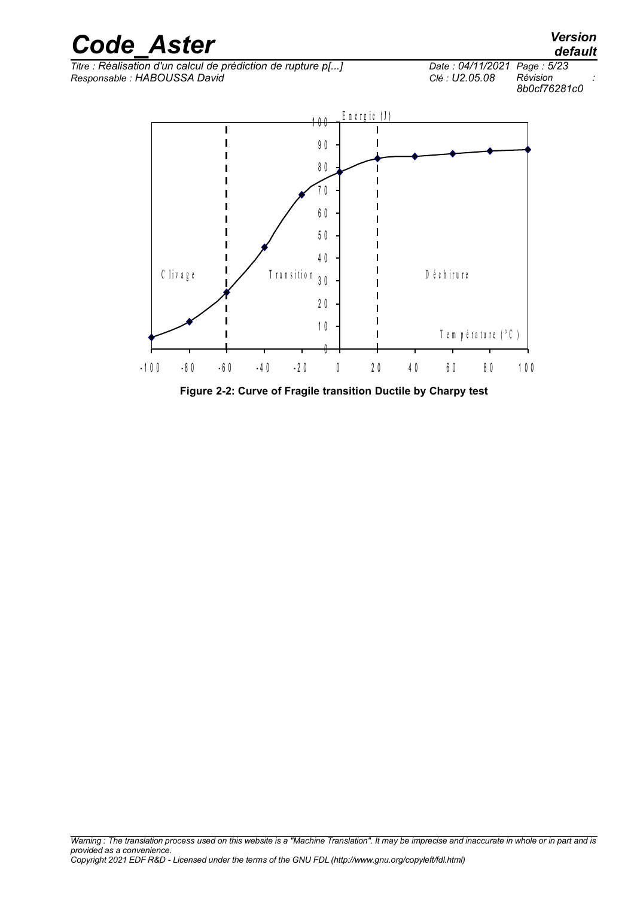

<span id="page-4-0"></span>**Figure 2-2: Curve of Fragile transition Ductile by Charpy test**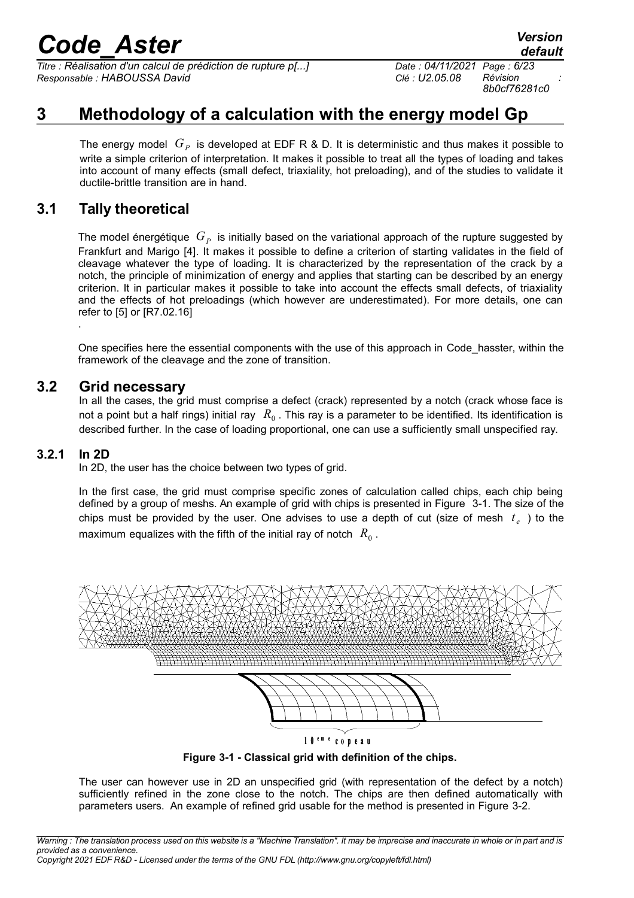*Titre : Réalisation d'un calcul de prédiction de rupture p[...] Date : 04/11/2021 Page : 6/23 Responsable : HABOUSSA David Clé : U2.05.08 Révision :*

*8b0cf76281c0*

## **3 Methodology of a calculation with the energy model Gp**

<span id="page-5-3"></span>The energy model  $|G_P|$  is developed at EDF R & D. It is deterministic and thus makes it possible to write a simple criterion of interpretation. It makes it possible to treat all the types of loading and takes into account of many effects (small defect, triaxiality, hot preloading), and of the studies to validate it ductile-brittle transition are in hand.

## **3.1 Tally theoretical**

<span id="page-5-2"></span>The model énergétique  $\,G_{P}\,$  is initially based on the variational approach of the rupture suggested by Frankfurt and Marigo [\[4\].](#page-22-5) It makes it possible to define a criterion of starting validates in the field of cleavage whatever the type of loading. It is characterized by the representation of the crack by a notch, the principle of minimization of energy and applies that starting can be described by an energy criterion. It in particular makes it possible to take into account the effects small defects, of triaxiality and the effects of hot preloadings (which however are underestimated). For more details, one can refer to [\[5\]](#page-22-4) or [R7.02.16] .

One specifies here the essential components with the use of this approach in Code\_hasster, within the framework of the cleavage and the zone of transition.

#### **3.2 Grid necessary**

<span id="page-5-1"></span>In all the cases, the grid must comprise a defect (crack) represented by a notch (crack whose face is not a point but a half rings) initial ray  $\ R_0$  . This ray is a parameter to be identified. Its identification is described further. In the case of loading proportional, one can use a sufficiently small unspecified ray.

#### **3.2.1 In 2D**

<span id="page-5-0"></span>In 2D, the user has the choice between two types of grid.

In the first case, the grid must comprise specific zones of calculation called chips, each chip being defined by a group of meshs. An example of grid with chips is presented in Figure [3-1.](#page-5-4) The size of the chips must be provided by the user. One advises to use a depth of cut (size of mesh  $t_e$ ) to the maximum equalizes with the fifth of the initial ray of notch  $\ R_{0}$  .



<span id="page-5-4"></span>**Figure 3-1 - Classical grid with definition of the chips.**

The user can however use in 2D an unspecified grid (with representation of the defect by a notch) sufficiently refined in the zone close to the notch. The chips are then defined automatically with parameters users. An example of refined grid usable for the method is presented in Figure [3-2.](#page-6-1)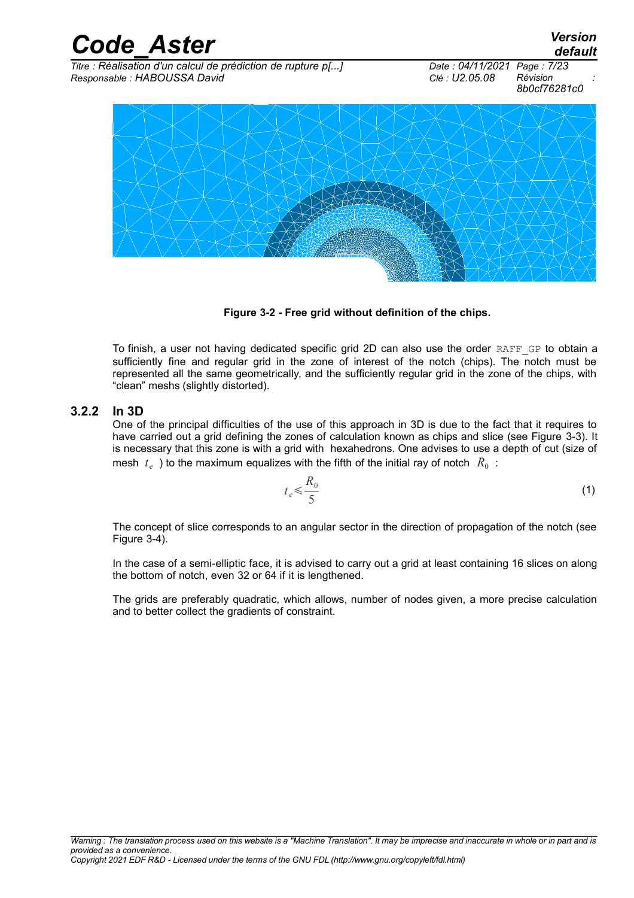*Code\_Aster Version default Titre : Réalisation d'un calcul de prédiction de rupture p[...] Date : 04/11/2021 Page : 7/23 Responsable : HABOUSSA David Clé : U2.05.08 Révision : 8b0cf76281c0*



<span id="page-6-1"></span> **Figure 3-2 - Free grid without definition of the chips.**

To finish, a user not having dedicated specific grid 2D can also use the order RAFF GP to obtain a sufficiently fine and regular grid in the zone of interest of the notch (chips). The notch must be represented all the same geometrically, and the sufficiently regular grid in the zone of the chips, with "clean" meshs (slightly distorted).

#### **3.2.2 In 3D**

<span id="page-6-0"></span>One of the principal difficulties of the use of this approach in 3D is due to the fact that it requires to have carried out a grid defining the zones of calculation known as chips and slice (see Figure [3-3\)](#page-7-2). It is necessary that this zone is with a grid with hexahedrons. One advises to use a depth of cut (size of mesh  $|t_e|$  ) to the maximum equalizes with the fifth of the initial ray of notch  $|R_0|$  :

$$
t_e \leqslant \frac{R_0}{5} \tag{1}
$$

The concept of slice corresponds to an angular sector in the direction of propagation of the notch (see Figure [3-4\)](#page-7-1).

In the case of a semi-elliptic face, it is advised to carry out a grid at least containing 16 slices on along the bottom of notch, even 32 or 64 if it is lengthened.

The grids are preferably quadratic, which allows, number of nodes given, a more precise calculation and to better collect the gradients of constraint.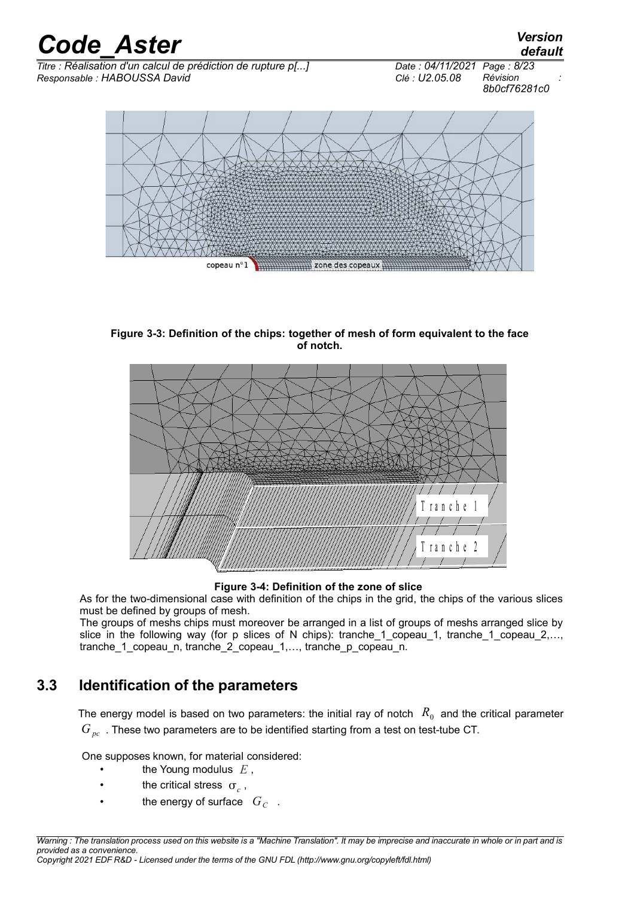

<span id="page-7-2"></span>**Figure 3-3: Definition of the chips: together of mesh of form equivalent to the face of notch.**



<span id="page-7-1"></span>**Figure 3-4: Definition of the zone of slice**

As for the two-dimensional case with definition of the chips in the grid, the chips of the various slices must be defined by groups of mesh.

The groups of meshs chips must moreover be arranged in a list of groups of meshs arranged slice by slice in the following way (for p slices of N chips): tranche\_1\_copeau\_1, tranche\_1\_copeau\_2,…, tranche\_1\_copeau\_n, tranche\_2\_copeau\_1,…, tranche\_p\_copeau\_n.

## **3.3 Identification of the parameters**

<span id="page-7-0"></span>The energy model is based on two parameters: the initial ray of notch  $\ R_0^+$  and the critical parameter *G*<sub>*nc*</sub>. These two parameters are to be identified starting from a test on test-tube CT.

One supposes known, for material considered:

- the Young modulus *E* ,
- **the critical stress**  $\sigma_c$ ,
- the energy of surface  $G_C$ .

*Warning : The translation process used on this website is a "Machine Translation". It may be imprecise and inaccurate in whole or in part and is provided as a convenience. Copyright 2021 EDF R&D - Licensed under the terms of the GNU FDL (http://www.gnu.org/copyleft/fdl.html)*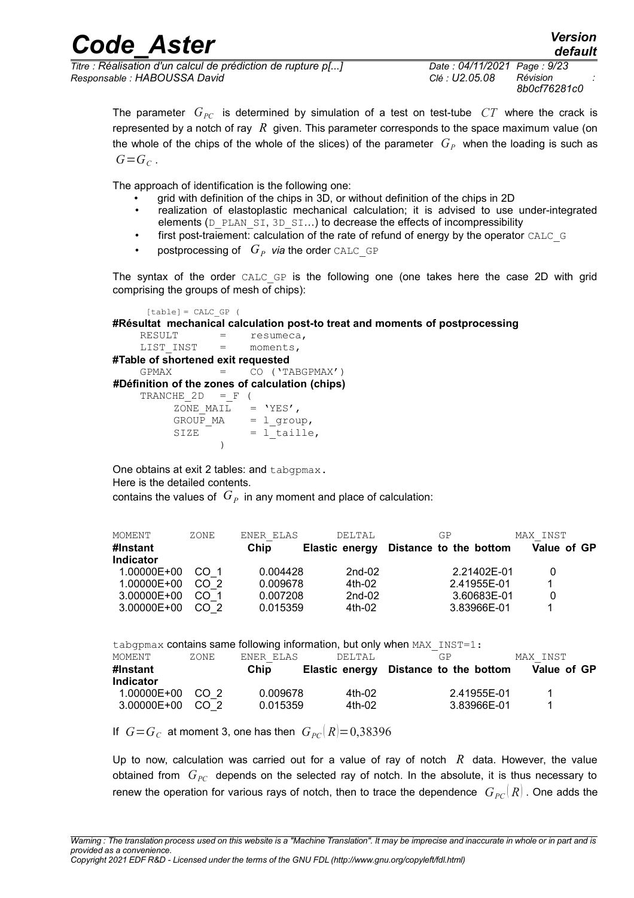*Titre : Réalisation d'un calcul de prédiction de rupture p[...] Date : 04/11/2021 Page : 9/23 Responsable : HABOUSSA David Clé : U2.05.08 Révision :*

*8b0cf76281c0*

The parameter  $G_{PC}$  is determined by simulation of a test on test-tube  $CT$  where the crack is represented by a notch of ray *R* given. This parameter corresponds to the space maximum value (on the whole of the chips of the whole of the slices) of the parameter  $\,G_{P}\,$  when the loading is such as  $G = G_C$ .

The approach of identification is the following one:

- grid with definition of the chips in 3D, or without definition of the chips in 2D
- realization of elastoplastic mechanical calculation; it is advised to use under-integrated elements (D\_PLAN\_SI, 3D\_SI...) to decrease the effects of incompressibility
- first post-traiement: calculation of the rate of refund of energy by the operator CALC G
- postprocessing of  $G_p$  *via* the order CALC GP

The syntax of the order CALC GP is the following one (one takes here the case 2D with grid comprising the groups of mesh of chips):

```
[table] = CALC GP (
#Résultat mechanical calculation post-to treat and moments of postprocessing
    RESULT = resumeca,
    LIST INST = moments,
#Table of shortened exit requested
    GPMAX = CO (YTABGPMAX') #Définition of the zones of calculation (chips)
    TRANCHE 2D = F (
         ZONE_MAIL = 'YES',
         GROUP_MA = l_group,
         SIZE = 1[taille,
 )
```
One obtains at exit 2 tables: and tabgpmax. Here is the detailed contents. contains the values of  $\,G_{P}\,$  in any moment and place of calculation:

| MOMENT           | ZONE            | ENER ELAS | DELTAL         | GP                     | MAX INST    |
|------------------|-----------------|-----------|----------------|------------------------|-------------|
| #Instant         |                 | Chip      | Elastic energy | Distance to the bottom | Value of GP |
| <b>Indicator</b> |                 |           |                |                        |             |
| 1.00000E+00      | CO 1            | 0.004428  | $2nd-02$       | 2.21402E-01            |             |
| 1.00000E+00      | CO <sub>2</sub> | 0.009678  | 4th-02         | 2.41955E-01            |             |
| 3.00000E+00      | CO 1            | 0.007208  | $2nd-02$       | 3.60683E-01            | 0           |
| 3.00000E+00      | CO <sub>2</sub> | 0.015359  | 4th-02         | 3.83966E-01            |             |

|                  |                 |           |        | tabgpmax contains same following information, but only when $MAX$ $INST=1$ : |             |
|------------------|-----------------|-----------|--------|------------------------------------------------------------------------------|-------------|
| MOMENT           | ZONE            | ENER ELAS | DELTAL | GP.                                                                          | MAX INST    |
| #Instant         |                 | Chip      |        | Elastic energy Distance to the bottom                                        | Value of GP |
| <b>Indicator</b> |                 |           |        |                                                                              |             |
| 1.00000E+00      | CO <sub>2</sub> | 0.009678  | 4th-02 | 2.41955E-01                                                                  |             |
| 3.00000E+00      | CO <sub>2</sub> | 0.015359  | 4th-02 | 3.83966E-01                                                                  | 1           |

If  $G = G_C$  at moment 3, one has then  $G_{PC} | R = 0.38396$ 

Up to now, calculation was carried out for a value of ray of notch *R* data. However, the value obtained from  $G_{PC}$  depends on the selected ray of notch. In the absolute, it is thus necessary to renew the operation for various rays of notch, then to trace the dependence  $G_{PC}(R)$ . One adds the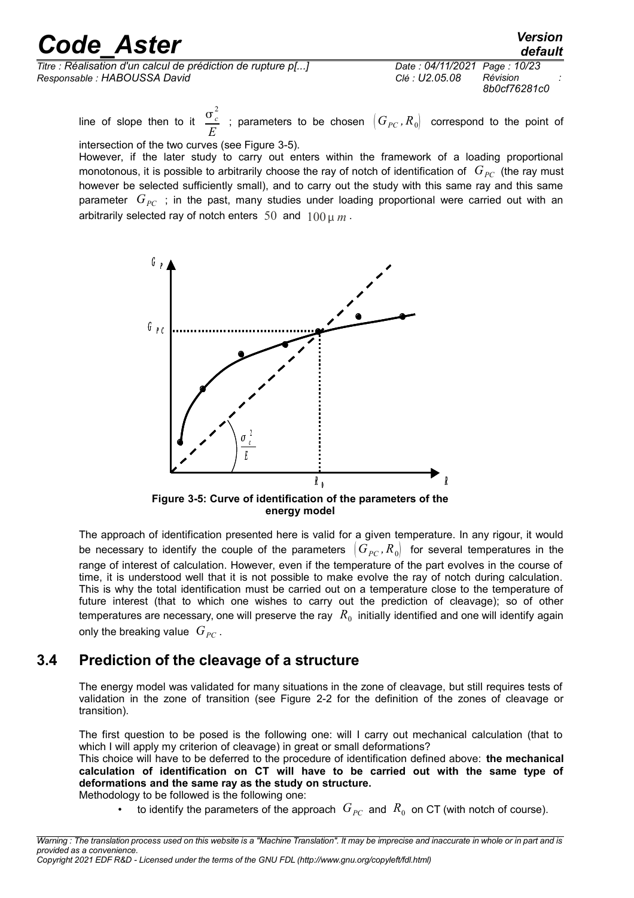| <b>Code Aster</b>                                            |                              | <b>Version</b><br>default |
|--------------------------------------------------------------|------------------------------|---------------------------|
| Titre : Réalisation d'un calcul de prédiction de rupture p[] | Date: 04/11/2021 Page: 10/23 | Révision                  |
| Responsable: HABOUSSA David                                  | Clé : U2.05.08               | 8b0cf76281c0              |

line of slope then to it  $\frac{\sigma_c^2}{2}$ *E* ; parameters to be chosen  $|G_{PC}$ ,  $R_0|$  correspond to the point of

intersection of the two curves (see Figure [3-5\)](#page-9-1). However, if the later study to carry out enters within the framework of a loading proportional monotonous, it is possible to arbitrarily choose the ray of notch of identification of  $G_{PC}$  (the ray must however be selected sufficiently small), and to carry out the study with this same ray and this same parameter  $G_{PC}$  ; in the past, many studies under loading proportional were carried out with an arbitrarily selected ray of notch enters 50 and 100 *m* .



<span id="page-9-1"></span>**Figure 3-5: Curve of identification of the parameters of the energy model**

The approach of identification presented here is valid for a given temperature. In any rigour, it would be necessary to identify the couple of the parameters  $(G_{PC}, R_0)$  for several temperatures in the range of interest of calculation. However, even if the temperature of the part evolves in the course of time, it is understood well that it is not possible to make evolve the ray of notch during calculation. This is why the total identification must be carried out on a temperature close to the temperature of future interest (that to which one wishes to carry out the prediction of cleavage); so of other temperatures are necessary, one will preserve the ray  $\ R_0^{}$  initially identified and one will identify again only the breaking value  $G_{PC}$ .

### **3.4 Prediction of the cleavage of a structure**

<span id="page-9-0"></span>The energy model was validated for many situations in the zone of cleavage, but still requires tests of validation in the zone of transition (see Figure [2-2](#page-4-0) for the definition of the zones of cleavage or transition).

The first question to be posed is the following one: will I carry out mechanical calculation (that to which I will apply my criterion of cleavage) in great or small deformations?

This choice will have to be deferred to the procedure of identification defined above: **the mechanical calculation of identification on CT will have to be carried out with the same type of deformations and the same ray as the study on structure.** Methodology to be followed is the following one:

• bo identify the parameters of the approach  $G_{PC}$  and  $R_0$  on CT (with notch of course).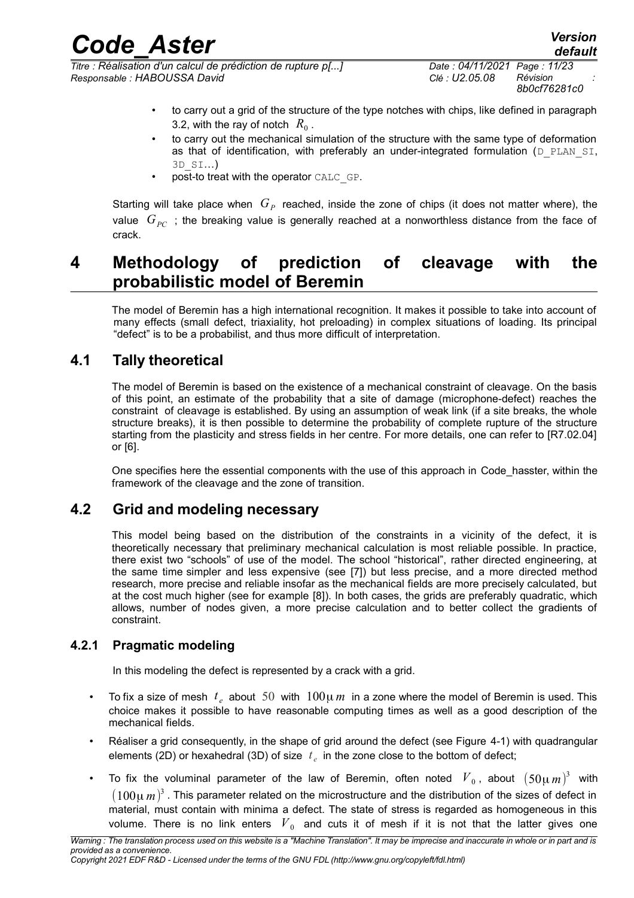*Titre : Réalisation d'un calcul de prédiction de rupture p[...] Date : 04/11/2021 Page : 11/23 Responsable : HABOUSSA David Clé : U2.05.08 Révision :*

- to carry out a grid of the structure of the type notches with chips, like defined in paragraph 3.2, with the ray of notch  $R_0$  .
- to carry out the mechanical simulation of the structure with the same type of deformation as that of identification, with preferably an under-integrated formulation (D\_PLAN\_SI, 3D\_SI…)
- post-to treat with the operator CALC\_GP.

Starting will take place when  $\,G_{P}\,$  reached, inside the zone of chips (it does not matter where), the value *GPC* ; the breaking value is generally reached at a nonworthless distance from the face of crack.

## <span id="page-10-3"></span>**4 Methodology of prediction of cleavage with the probabilistic model of Beremin**

The model of Beremin has a high international recognition. It makes it possible to take into account of many effects (small defect, triaxiality, hot preloading) in complex situations of loading. Its principal "defect" is to be a probabilist, and thus more difficult of interpretation.

## **4.1 Tally theoretical**

<span id="page-10-2"></span>The model of Beremin is based on the existence of a mechanical constraint of cleavage. On the basis of this point, an estimate of the probability that a site of damage (microphone-defect) reaches the constraint of cleavage is established. By using an assumption of weak link (if a site breaks, the whole structure breaks), it is then possible to determine the probability of complete rupture of the structure starting from the plasticity and stress fields in her centre. For more details, one can refer to [R7.02.04] or [\[6\].](#page-22-8)

One specifies here the essential components with the use of this approach in Code\_hasster, within the framework of the cleavage and the zone of transition.

### **4.2 Grid and modeling necessary**

<span id="page-10-1"></span>This model being based on the distribution of the constraints in a vicinity of the defect, it is theoretically necessary that preliminary mechanical calculation is most reliable possible. In practice, there exist two "schools" of use of the model. The school "historical", rather directed engineering, at the same time simpler and less expensive (see [\[7\]\)](#page-22-7) but less precise, and a more directed method research, more precise and reliable insofar as the mechanical fields are more precisely calculated, but at the cost much higher (see for example [\[8\]\)](#page-22-6). In both cases, the grids are preferably quadratic, which allows, number of nodes given, a more precise calculation and to better collect the gradients of constraint.

#### **4.2.1 Pragmatic modeling**

<span id="page-10-0"></span>In this modeling the defect is represented by a crack with a grid.

- To fix a size of mesh  $t_e$  about 50 with  $100\mu m$  in a zone where the model of Beremin is used. This choice makes it possible to have reasonable computing times as well as a good description of the mechanical fields.
- Réaliser a grid consequently, in the shape of grid around the defect (see Figure [4-1\)](#page-11-1) with quadrangular elements (2D) or hexahedral (3D) of size  $t_e$  in the zone close to the bottom of defect;
- To fix the voluminal parameter of the law of Beremin, often noted  $\overline{V}_0$ , about  $(50\mu\,m)^3$  with  $(100\mu\,m)^3$  . This parameter related on the microstructure and the distribution of the sizes of defect in material, must contain with minima a defect. The state of stress is regarded as homogeneous in this volume. There is no link enters  $\,V_{\,0}\,$  and cuts it of mesh if it is not that the latter gives one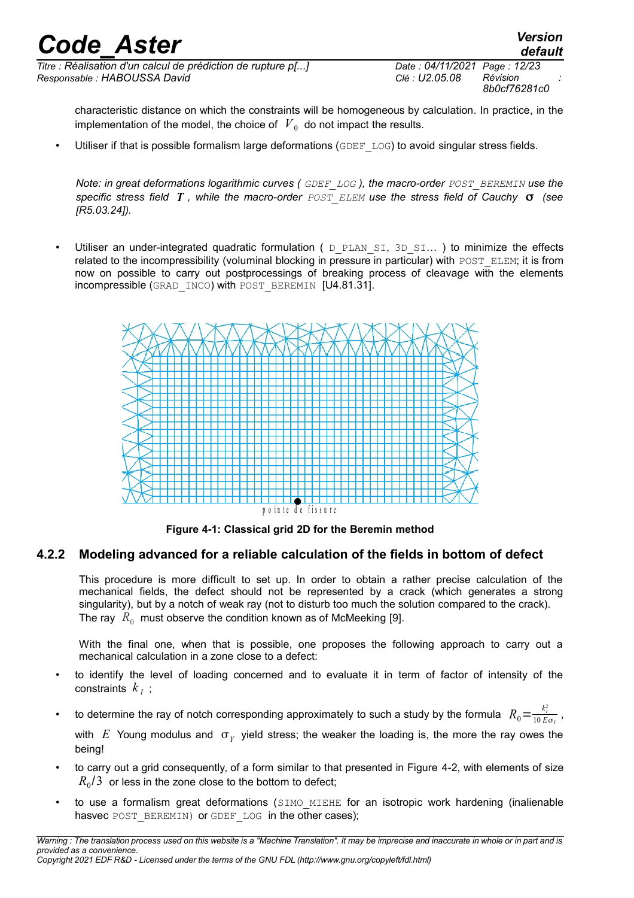*Titre : Réalisation d'un calcul de prédiction de rupture p[...] Date : 04/11/2021 Page : 12/23 Responsable : HABOUSSA David Clé : U2.05.08 Révision :*

*8b0cf76281c0*

*default*

characteristic distance on which the constraints will be homogeneous by calculation. In practice, in the implementation of the model, the choice of  $\left| V_{\{0\}} \right|$  do not impact the results.

Utiliser if that is possible formalism large deformations (GDEF\_LOG) to avoid singular stress fields.

*Note: in great deformations logarithmic curves ( GDEF\_LOG* ), the macro-order  $POST$  BEREMIN use the *specific stress field T , while the macro-order POST\_ELEM use the stress field of Cauchy (see [R5.03.24]).* 

Utiliser an under-integrated quadratic formulation ( $D$  PLAN SI, 3D SI...) to minimize the effects related to the incompressibility (voluminal blocking in pressure in particular) with POST\_ELEM; it is from now on possible to carry out postprocessings of breaking process of cleavage with the elements incompressible (GRAD\_INCO) with POST\_BEREMIN [U4.81.31].



<span id="page-11-1"></span>**Figure 4-1: Classical grid 2D for the Beremin method**

#### **4.2.2 Modeling advanced for a reliable calculation of the fields in bottom of defect**

<span id="page-11-0"></span>This procedure is more difficult to set up. In order to obtain a rather precise calculation of the mechanical fields, the defect should not be represented by a crack (which generates a strong singularity), but by a notch of weak ray (not to disturb too much the solution compared to the crack). The ray  $\ R_{0}^+$  must observe the condition known as of McMeeking [\[9\].](#page-22-9)

With the final one, when that is possible, one proposes the following approach to carry out a mechanical calculation in a zone close to a defect:

- to identify the level of loading concerned and to evaluate it in term of factor of intensity of the constraints  $k_I$ ;
- to determine the ray of notch corresponding approximately to such a study by the formula  $R_0\! =\! \frac{k_t^2}{10\,E}$  $\frac{N_I}{10 E \sigma_Y}$ ,

with  $E$  Young modulus and  $\sigma_Y$  yield stress; the weaker the loading is, the more the ray owes the being!

- to carry out a grid consequently, of a form similar to that presented in Figure [4-2,](#page-12-1) with elements of size  $R_{\rm 0}$ /3  $\,$  or less in the zone close to the bottom to defect;
- to use a formalism great deformations (SIMO MIEHE for an isotropic work hardening (inalienable hasvec POST\_BEREMIN) or GDEF\_LOG in the other cases);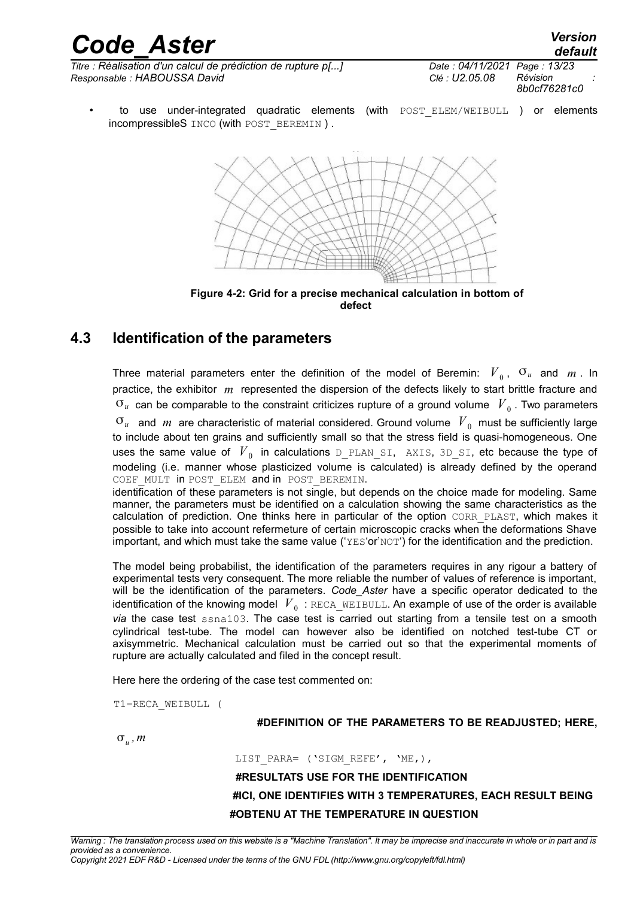*Titre : Réalisation d'un calcul de prédiction de rupture p[...] Date : 04/11/2021 Page : 13/23 Responsable : HABOUSSA David Clé : U2.05.08 Révision :*

*8b0cf76281c0*

to use under-integrated quadratic elements (with POST\_ELEM/WEIBULL ) or elements incompressibleS INCO (with POST\_BEREMIN ) .



<span id="page-12-1"></span>**defect**

### **4.3 Identification of the parameters**

<span id="page-12-0"></span>Three material parameters enter the definition of the model of Beremin:  $\overline{V}_0$ ,  $\overline{v}_u$  and  $\overline{m}$ . In practice, the exhibitor *m* represented the dispersion of the defects likely to start brittle fracture and  $\sigma_u$  can be comparable to the constraint criticizes rupture of a ground volume  $\left| {V}_{0}\right\rangle$  . Two parameters  $\sigma_u$  and  $m$  are characteristic of material considered. Ground volume  $|V_{\bar{0}}|$  must be sufficiently large to include about ten grains and sufficiently small so that the stress field is quasi-homogeneous. One uses the same value of  $\,V_{\,0}\,$  in calculations <code>D\_PLAN\_SI, AXIS, 3D\_SI,</code> etc because the type of modeling (i.e. manner whose plasticized volume is calculated) is already defined by the operand COEF MULT in POST ELEM and in POST BEREMIN. identification of these parameters is not single, but depends on the choice made for modeling. Same

manner, the parameters must be identified on a calculation showing the same characteristics as the calculation of prediction. One thinks here in particular of the option CORR\_PLAST, which makes it possible to take into account refermeture of certain microscopic cracks when the deformations Shave important, and which must take the same value ('YES'or'NOT') for the identification and the prediction.

The model being probabilist, the identification of the parameters requires in any rigour a battery of experimental tests very consequent. The more reliable the number of values of reference is important, will be the identification of the parameters. *Code\_Aster* have a specific operator dedicated to the identification of the knowing model  $\overline{V}_0$  : <code>RECA\_WEIBULL.</code> An example of use of the order is available *via* the case test ssna103. The case test is carried out starting from a tensile test on a smooth cylindrical test-tube. The model can however also be identified on notched test-tube CT or axisymmetric. Mechanical calculation must be carried out so that the experimental moments of rupture are actually calculated and filed in the concept result.

Here here the ordering of the case test commented on:

T1=RECA\_WEIBULL (

#### **#DEFINITION OF THE PARAMETERS TO BE READJUSTED; HERE,**

 $\sigma_u$  ,  $m$ 

LIST\_PARA= ('SIGM\_REFE', 'ME, ),

 **#RESULTATS USE FOR THE IDENTIFICATION #ICI, ONE IDENTIFIES WITH 3 TEMPERATURES, EACH RESULT BEING #OBTENU AT THE TEMPERATURE IN QUESTION**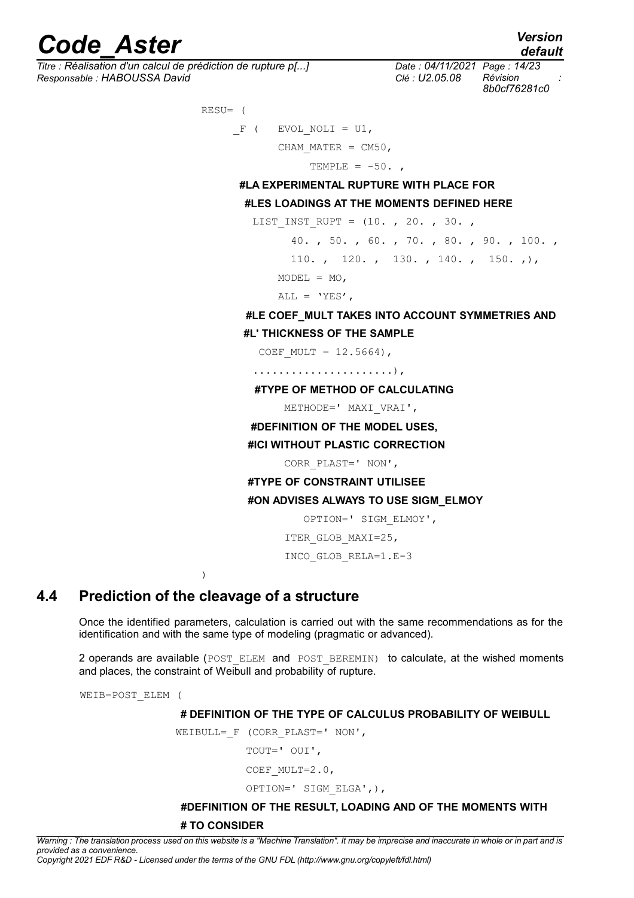# *Code*<br>*Code*<br>*Code Aster Condensity of the prédiction de rupture p[...]*<br>*Code: 04/11/2021 Page: 14/23*

*Titre : Réalisation d'un calcul de prédiction de rupture p[...] Date : 04/11/2021 Page : 14/23 Responsable : HABOUSSA David Clé : U2.05.08 Révision :*

*default*

*8b0cf76281c0*

 RESU= (  $F$  ( EVOL NOLI = U1, CHAM MATER =  $CM50$ , TEMPLE =  $-50.$ 

**#LA EXPERIMENTAL RUPTURE WITH PLACE FOR**

#### **#LES LOADINGS AT THE MOMENTS DEFINED HERE**

LIST INST RUPT = (10. , 20. , 30. ,

 40. , 50. , 60. , 70. , 80. , 90. , 100. , 110. , 120. , 130. , 140. , 150. , ),

 $MODEL = MO$ ,

ALL =  $'YES'$ ,

#### **#LE COEF\_MULT TAKES INTO ACCOUNT SYMMETRIES AND**

**#L' THICKNESS OF THE SAMPLE**

COEF MULT =  $12.5664$ ),

......................),

#### **#TYPE OF METHOD OF CALCULATING**

METHODE=' MAXI\_VRAI',

#### **#DEFINITION OF THE MODEL USES,**

#### **#ICI WITHOUT PLASTIC CORRECTION**

CORR\_PLAST=' NON',

#### **#TYPE OF CONSTRAINT UTILISEE**

#### **#ON ADVISES ALWAYS TO USE SIGM\_ELMOY**

```
 OPTION=' SIGM_ELMOY',
```
ITER\_GLOB\_MAXI=25,

INCO\_GLOB\_RELA=1.E-3

<span id="page-13-0"></span>)

#### **4.4 Prediction of the cleavage of a structure**

Once the identified parameters, calculation is carried out with the same recommendations as for the identification and with the same type of modeling (pragmatic or advanced).

2 operands are available (POST\_ELEM and POST\_BEREMIN) to calculate, at the wished moments and places, the constraint of Weibull and probability of rupture.

WEIB=POST\_ELEM (

 **# DEFINITION OF THE TYPE OF CALCULUS PROBABILITY OF WEIBULL**

WEIBULL= F (CORR PLAST=' NON',

TOUT=' OUI',

COEF MULT=2.0,

```
 OPTION=' SIGM_ELGA',),
```
## **#DEFINITION OF THE RESULT, LOADING AND OF THE MOMENTS WITH**

#### **# TO CONSIDER**

*Warning : The translation process used on this website is a "Machine Translation". It may be imprecise and inaccurate in whole or in part and is provided as a convenience.*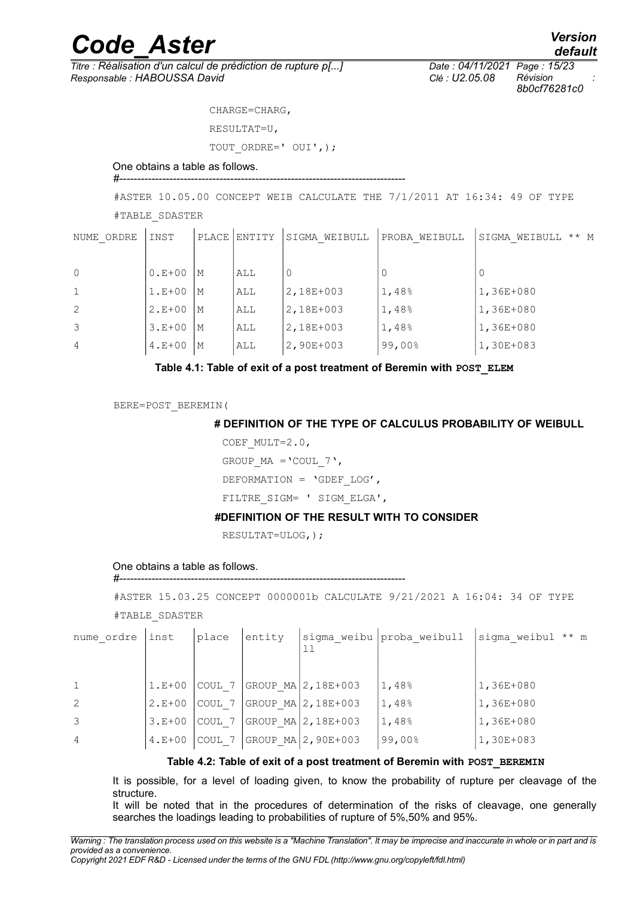*Titre : Réalisation d'un calcul de prédiction de rupture p[...] Date : 04/11/2021 Page : 15/23 Responsable : HABOUSSA David Clé : U2.05.08 Révision :*

 CHARGE=CHARG, RESULTAT=U,

TOUT ORDRE=' OUI',);

#### One obtains a table as follows. #--------------------------------------------------------------------------------

#ASTER 10.05.00 CONCEPT WEIB CALCULATE THE 7/1/2011 AT 16:34: 49 OF TYPE

#TABLE\_SDASTER

| NUME ORDRE     | INST     |    | PLACE   ENTITY | SIGMA WEIBULL | PROBA WEIBULL | $***$ M<br>SIGMA WEIBULL |
|----------------|----------|----|----------------|---------------|---------------|--------------------------|
|                |          |    |                |               |               |                          |
| $\Omega$       | $0.E+00$ | М  | ALL            | 0             |               |                          |
| $\mathbf 1$    | $1.E+00$ | М  | ALL            | 2,18E+003     | 1,48%         | 1,36E+080                |
| 2              | $2.E+00$ | М  | ALL            | 2,18E+003     | 1,48%         | $1,36E+080$              |
| 3              | $3.E+00$ | 'M | ALL            | 2,18E+003     | 1,48%         | 1,36E+080                |
| $\overline{4}$ | $4.E+00$ | М  | ALL            | 2,90E+003     | 99,00%        | 1,30E+083                |

#### Table 4.1: Table of exit of a post treatment of Beremin with **POST** ELEM

BERE=POST\_BEREMIN(

#### **# DEFINITION OF THE TYPE OF CALCULUS PROBABILITY OF WEIBULL**

COEF MULT=2.0,

GROUP MA =  $'COUT 7',$ DEFORMATION = 'GDEF\_LOG',

FILTRE SIGM= ' SIGM ELGA',

#### **#DEFINITION OF THE RESULT WITH TO CONSIDER**

RESULTAT=ULOG,);

#--------------------------------------------------------------------------------

One obtains a table as follows.

#ASTER 15.03.25 CONCEPT 0000001b CALCULATE 9/21/2021 A 16:04: 34 OF TYPE #TABLE\_SDASTER

| nume ordre     | inst     | place   | entity |                       | sigma weibu proba weibull | sigma weibul ** m |
|----------------|----------|---------|--------|-----------------------|---------------------------|-------------------|
|                |          |         |        |                       |                           |                   |
|                | $1.E+00$ | 'COUL 7 |        | $ GROUP MA 2,18E+003$ | 1,48%                     | $1,36E+080$       |
| 2              | $2.E+00$ | COUL 7  |        | $ GROUP MA 2,18E+003$ | 1,48%                     | $1,36E+080$       |
| 3              | $3.E+00$ | COUL 7  |        | GROUP MA 2,18E+003    | 1,48%                     | $1,36E+080$       |
| $\overline{4}$ | $4.E+00$ | COUL 7  |        | $GROUP MA2, 90E+003$  | 99,00%                    | 1,30E+083         |

#### **Table 4.2: Table of exit of a post treatment of Beremin with POST\_BEREMIN**

It is possible, for a level of loading given, to know the probability of rupture per cleavage of the structure.

It will be noted that in the procedures of determination of the risks of cleavage, one generally searches the loadings leading to probabilities of rupture of 5%,50% and 95%.

*8b0cf76281c0*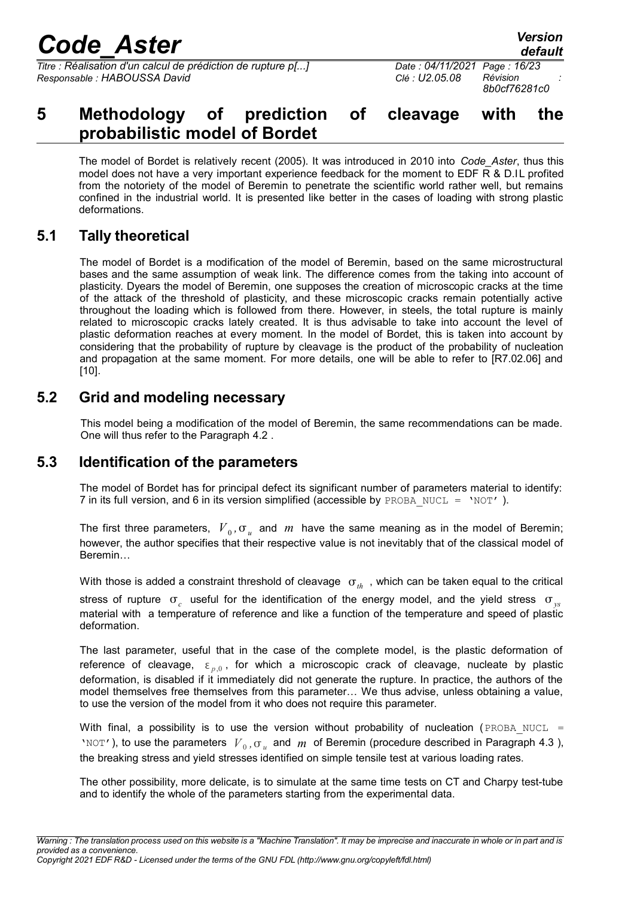*Titre : Réalisation d'un calcul de prédiction de rupture p[...] Date : 04/11/2021 Page : 16/23 Responsable : HABOUSSA David Clé : U2.05.08 Révision :*

## <span id="page-15-3"></span>**5 Methodology of prediction of cleavage with the probabilistic model of Bordet**

The model of Bordet is relatively recent (2005). It was introduced in 2010 into *Code\_Aster*, thus this model does not have a very important experience feedback for the moment to EDF R & D.IL profited from the notoriety of the model of Beremin to penetrate the scientific world rather well, but remains confined in the industrial world. It is presented like better in the cases of loading with strong plastic deformations.

### **5.1 Tally theoretical**

<span id="page-15-2"></span>The model of Bordet is a modification of the model of Beremin, based on the same microstructural bases and the same assumption of weak link. The difference comes from the taking into account of plasticity. Dyears the model of Beremin, one supposes the creation of microscopic cracks at the time of the attack of the threshold of plasticity, and these microscopic cracks remain potentially active throughout the loading which is followed from there. However, in steels, the total rupture is mainly related to microscopic cracks lately created. It is thus advisable to take into account the level of plastic deformation reaches at every moment. In the model of Bordet, this is taken into account by considering that the probability of rupture by cleavage is the product of the probability of nucleation and propagation at the same moment. For more details, one will be able to refer to [R7.02.06] and [\[10\].](#page-22-10)

### **5.2 Grid and modeling necessary**

<span id="page-15-1"></span>This model being a modification of the model of Beremin, the same recommendations can be made. One will thus refer to the Paragraph [4.2](#page-10-1) .

### **5.3 Identification of the parameters**

<span id="page-15-0"></span>The model of Bordet has for principal defect its significant number of parameters material to identify: 7 in its full version, and 6 in its version simplified (accessible by PROBA\_NUCL =  $'NOT'$ ).

The first three parameters,  $V_0$ ,  $\sigma_u$  and  $m$  have the same meaning as in the model of Beremin; however, the author specifies that their respective value is not inevitably that of the classical model of Beremin…

With those is added a constraint threshold of cleavage  $\sigma_{th}$ , which can be taken equal to the critical stress of rupture  $\sigma_c$  useful for the identification of the energy model, and the yield stress  $\sigma_{ys}$ material with a temperature of reference and like a function of the temperature and speed of plastic deformation.

The last parameter, useful that in the case of the complete model, is the plastic deformation of reference of cleavage,  $\varepsilon_{p,0}$ , for which a microscopic crack of cleavage, nucleate by plastic deformation, is disabled if it immediately did not generate the rupture. In practice, the authors of the model themselves free themselves from this parameter… We thus advise, unless obtaining a value, to use the version of the model from it who does not require this parameter.

With final, a possibility is to use the version without probability of nucleation (PROBA NUCL = 'NOT'), to use the parameters  $V_0$ ,  $\sigma_u$  and  $m$  of Beremin (procedure described in Paragraph 4.3), the breaking stress and yield stresses identified on simple tensile test at various loading rates.

The other possibility, more delicate, is to simulate at the same time tests on CT and Charpy test-tube and to identify the whole of the parameters starting from the experimental data.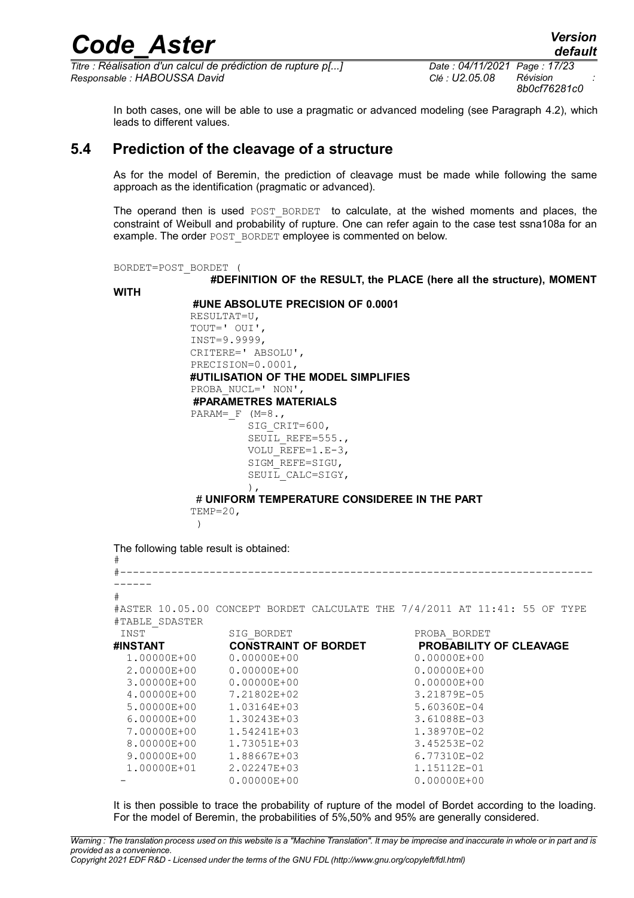*Titre : Réalisation d'un calcul de prédiction de rupture p[...] Date : 04/11/2021 Page : 17/23 Responsable : HABOUSSA David Clé : U2.05.08 Révision :*

*8b0cf76281c0*

*default*

In both cases, one will be able to use a pragmatic or advanced modeling (see Paragraph [4.2\)](#page-10-1), which leads to different values.

#### **5.4 Prediction of the cleavage of a structure**

<span id="page-16-0"></span>As for the model of Beremin, the prediction of cleavage must be made while following the same approach as the identification (pragmatic or advanced).

The operand then is used POST BORDET to calculate, at the wished moments and places, the constraint of Weibull and probability of rupture. One can refer again to the case test ssna108a for an example. The order POST\_BORDET employee is commented on below.

BORDET=POST\_BORDET (

**#DEFINITION OF the RESULT, the PLACE (here all the structure), MOMENT**

**WITH**

 **#UNE ABSOLUTE PRECISION OF 0.0001**

 RESULTAT=U, TOUT=' OUI', INST=9.9999, CRITERE=' ABSOLU', PRECISION=0.0001, **#UTILISATION OF THE MODEL SIMPLIFIES** PROBA NUCL=' NON', **#PARAMETRES MATERIALS** PARAM= $F (M=8.$ SIG\_CRIT=600, SEUIL REFE=555., VOLU  $REFE=1.E-3$ , SIGM\_REFE=SIGU, SEUIL CALC=SIGY,  $\,$ ,  $\,$ ,  $\,$ ,  $\,$ ,  $\,$ ,  $\,$ ,  $\,$ ,  $\,$ ,  $\,$ ,  $\,$ ,  $\,$ ,  $\,$ ,  $\,$ ,  $\,$ ,  $\,$ ,  $\,$ ,  $\,$ ,  $\,$ ,  $\,$ ,  $\,$ ,  $\,$ ,  $\,$ ,  $\,$ ,  $\,$ ,  $\,$ ,  $\,$ ,  $\,$ ,  $\,$ ,  $\,$ ,  $\,$ ,  $\,$ ,  $\,$ ,  $\,$ ,  $\,$ ,  $\,$ ,  $\,$ ,  $\,$ ,

# **UNIFORM TEMPERATURE CONSIDEREE IN THE PART**

 $TEMP=20$ .

 $)$ 

The following table result is obtained:

```
#
#--------------------------------------------------------------------------
------
#
#ASTER 10.05.00 CONCEPT BORDET CALCULATE THE 7/4/2011 AT 11:41: 55 OF TYPE
#TABLE_SDASTER
 INST SIG_BORDET PROBA_BORDET
#INSTANT CONSTRAINT OF BORDET PROBABILITY OF CLEAVAGE
  1.00000E+00 0.00000E+00 0.00000E+00
  2.00000E+00 0.00000E+00 0.00000E+00
  3.00000E+00 0.00000E+00 0.00000E+00
  4.00000E+00 7.21802E+02 3.21879E-05
  5.00000E+00 1.03164E+03 5.60360E-04
  6.00000E+00 1.30243E+03 3.61088E-03
  7.00000E+00 1.54241E+03 1.38970E-02
  8.00000E+00 1.73051E+03 3.45253E-02
 9.00000E+00  1.88667E+03  6.77310E-02
  1.00000E+01 2.02247E+03 1.15112E-01
            0.00000E+00 0.00000E+00
```
It is then possible to trace the probability of rupture of the model of Bordet according to the loading. For the model of Beremin, the probabilities of 5%,50% and 95% are generally considered.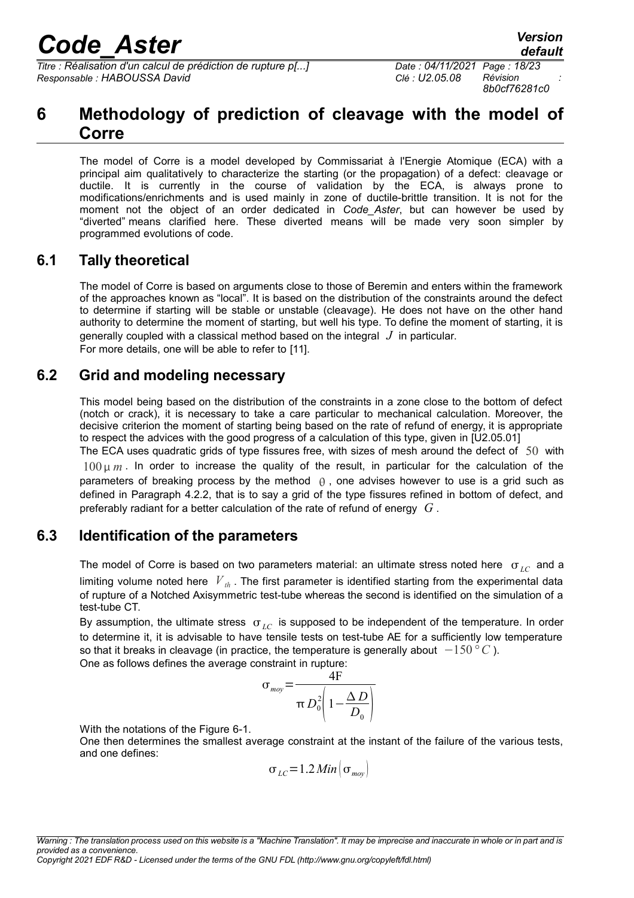*Titre : Réalisation d'un calcul de prédiction de rupture p[...] Date : 04/11/2021 Page : 18/23 Responsable : HABOUSSA David Clé : U2.05.08 Révision :*

## <span id="page-17-3"></span>**6 Methodology of prediction of cleavage with the model of Corre**

The model of Corre is a model developed by Commissariat à l'Energie Atomique (ECA) with a principal aim qualitatively to characterize the starting (or the propagation) of a defect: cleavage or ductile. It is currently in the course of validation by the ECA, is always prone to modifications/enrichments and is used mainly in zone of ductile-brittle transition. It is not for the moment not the object of an order dedicated in *Code\_Aster*, but can however be used by "diverted" means clarified here. These diverted means will be made very soon simpler by programmed evolutions of code.

### **6.1 Tally theoretical**

<span id="page-17-2"></span>The model of Corre is based on arguments close to those of Beremin and enters within the framework of the approaches known as "local". It is based on the distribution of the constraints around the defect to determine if starting will be stable or unstable (cleavage). He does not have on the other hand authority to determine the moment of starting, but well his type. To define the moment of starting, it is generally coupled with a classical method based on the integral *J* in particular. For more details, one will be able to refer to [\[11\].](#page-22-11)

### **6.2 Grid and modeling necessary**

<span id="page-17-1"></span>This model being based on the distribution of the constraints in a zone close to the bottom of defect (notch or crack), it is necessary to take a care particular to mechanical calculation. Moreover, the decisive criterion the moment of starting being based on the rate of refund of energy, it is appropriate to respect the advices with the good progress of a calculation of this type, given in [U2.05.01]

The ECA uses quadratic grids of type fissures free, with sizes of mesh around the defect of 50 with 100 *m* . In order to increase the quality of the result, in particular for the calculation of the parameters of breaking process by the method  $\theta$ , one advises however to use is a grid such as defined in Paragraph [4.2.2,](#page-11-0) that is to say a grid of the type fissures refined in bottom of defect, and preferably radiant for a better calculation of the rate of refund of energy *G* .

### **6.3 Identification of the parameters**

<span id="page-17-0"></span>The model of Corre is based on two parameters material: an ultimate stress noted here  $\sigma_{LC}$  and a limiting volume noted here  $V_{th}$ . The first parameter is identified starting from the experimental data of rupture of a Notched Axisymmetric test-tube whereas the second is identified on the simulation of a test-tube CT.

By assumption, the ultimate stress  $\sigma_{LC}$  is supposed to be independent of the temperature. In order to determine it, it is advisable to have tensile tests on test-tube AE for a sufficiently low temperature so that it breaks in cleavage (in practice, the temperature is generally about −150*°C* ). One as follows defines the average constraint in rupture:

$$
\sigma_{\text{mov}} = \frac{4F}{\pi D_0^2 \left(1 - \frac{\Delta D}{D_0}\right)}
$$

With the notations of the Figure [6-1.](#page-18-0)

One then determines the smallest average constraint at the instant of the failure of the various tests, and one defines:

$$
\sigma_{LC} = 1.2 \, Min \left[ \sigma_{moy} \right]
$$

*Copyright 2021 EDF R&D - Licensed under the terms of the GNU FDL (http://www.gnu.org/copyleft/fdl.html)*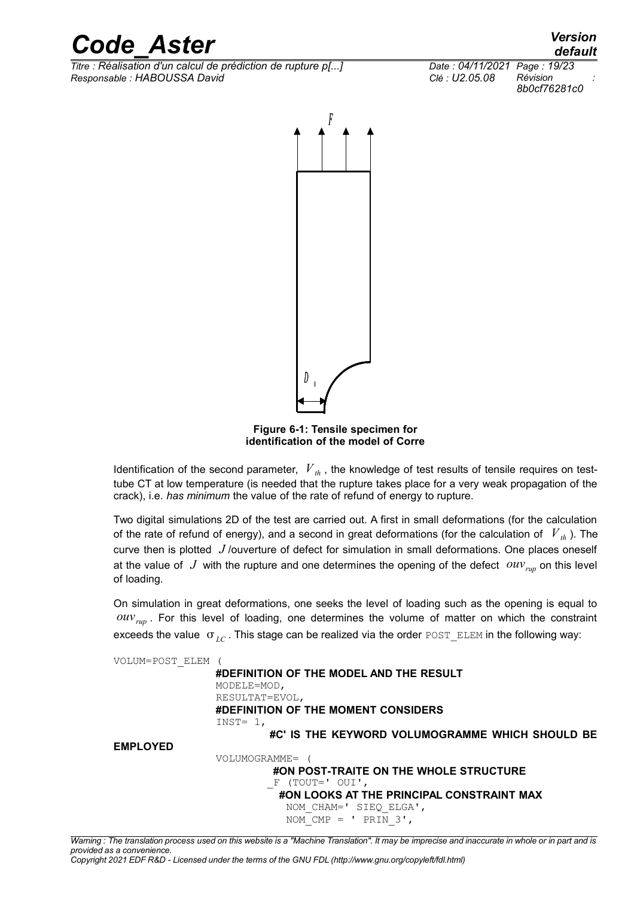*Titre : Réalisation d'un calcul de prédiction de rupture p[...] Date : 04/11/2021 Page : 19/23 Responsable : HABOUSSA David Clé : U2.05.08 Révision :*



<span id="page-18-0"></span>**Figure 6-1: Tensile specimen for identification of the model of Corre**

Identification of the second parameter,  $V_{th}$ , the knowledge of test results of tensile requires on testtube CT at low temperature (is needed that the rupture takes place for a very weak propagation of the crack), i.e. *has minimum* the value of the rate of refund of energy to rupture.

Two digital simulations 2D of the test are carried out. A first in small deformations (for the calculation of the rate of refund of energy), and a second in great deformations (for the calculation of  $V_{th}$ ). The curve then is plotted *J* /ouverture of defect for simulation in small deformations. One places oneself at the value of  $J$  with the rupture and one determines the opening of the defect  $\partial uv_{run}$  on this level of loading.

On simulation in great deformations, one seeks the level of loading such as the opening is equal to *ouvrup* . For this level of loading, one determines the volume of matter on which the constraint exceeds the value  $\sigma_{LC}$ . This stage can be realized via the order POST\_ELEM in the following way:



*default*

*8b0cf76281c0*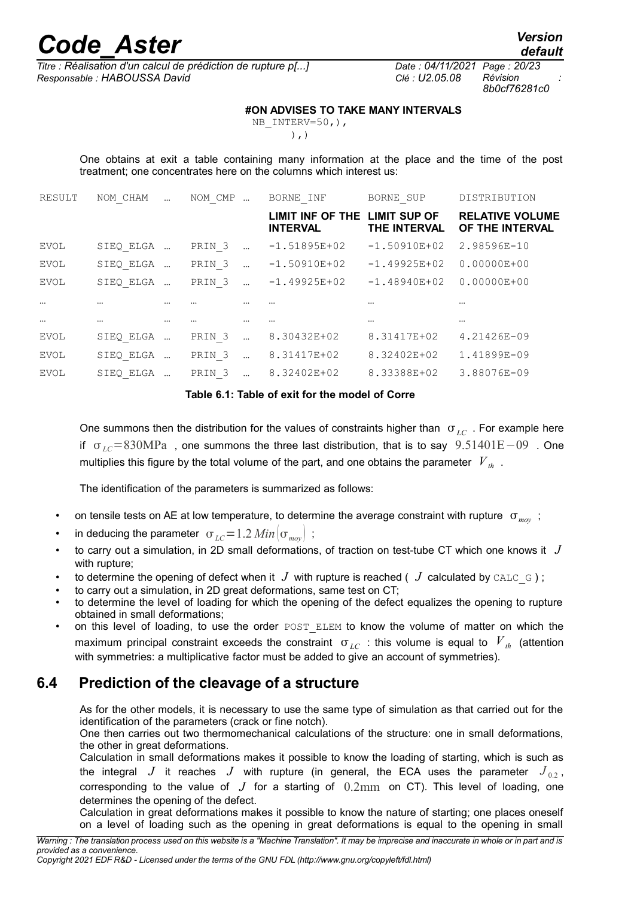*Titre : Réalisation d'un calcul de prédiction de rupture p[...] Date : 04/11/2021 Page : 20/23 Responsable : HABOUSSA David Clé : U2.05.08 Révision :*

*8b0cf76281c0*

#### **#ON ADVISES TO TAKE MANY INTERVALS**

NB\_INTERV=50,),  $)$ ,  $)$ 

One obtains at exit a table containing many information at the place and the time of the post treatment; one concentrates here on the columns which interest us:

| RESULT      | NOM CHAM  |          | NOM CMP           |          | BORNE INF                           | BORNE SUP                    | DISTRIBUTION                              |
|-------------|-----------|----------|-------------------|----------|-------------------------------------|------------------------------|-------------------------------------------|
|             |           |          |                   |          | LIMIT INF OF THE<br><b>INTERVAL</b> | LIMIT SUP OF<br>THE INTERVAL | <b>RELATIVE VOLUME</b><br>OF THE INTERVAL |
| EVOL        | SIEQ ELGA |          | PRIN <sub>3</sub> |          | $-1.51895E+02$                      | $-1.50910E+02$               | 2.98596E-10                               |
| EVOL        | SIEQ ELGA |          | PRIN <sub>3</sub> |          | $-1.50910E+02$                      | $-1.49925E+02$               | $0.00000E + 00$                           |
| <b>EVOL</b> | SIEQ ELGA |          | PRIN <sub>3</sub> |          | $-1.49925E+02$                      | $-1.48940E+02$               | $0.00000E + 00$                           |
| $\cdots$    | $\cdots$  | $\cdots$ |                   |          |                                     | $\cdots$                     | $\cdots$                                  |
| $\cdots$    | $\cdots$  | $\cdots$ | $\cdots$          | $\cdots$ |                                     | $\cdots$                     | $\cdots$                                  |
| EVOL        | SIEQ ELGA |          | PRIN <sub>3</sub> |          | 8.30432E+02                         | 8.31417E+02                  | 4.21426E-09                               |
| EVOL        | SIEQ ELGA |          | PRIN <sub>3</sub> |          | 8.31417E+02                         | 8.32402E+02                  | 1.41899E-09                               |
| EVOL        | SIEQ ELGA |          | PRIN <sub>3</sub> |          | 8.32402E+02                         | 8.33388E+02                  | 3.88076E-09                               |
|             |           |          |                   |          |                                     |                              |                                           |

**Table 6.1: Table of exit for the model of Corre**

One summons then the distribution for the values of constraints higher than  $\sigma_{LC}$ . For example here if *LC*=830MPa , one summons the three last distribution, that is to say 9.51401E−09 . One multiplies this figure by the total volume of the part, and one obtains the parameter  $V_{th}$ .

The identification of the parameters is summarized as follows:

- on tensile tests on AE at low temperature, to determine the average constraint with rupture  $\sigma_{_{moy}}$ ;
- in deducing the parameter  $\sigma_{LC} = 1.2$  *Min*  $|\sigma_{max}|$ ;
- to carry out a simulation, in 2D small deformations, of traction on test-tube CT which one knows it *J* with rupture;
- to determine the opening of defect when it  $J$  with rupture is reached ( $J$  calculated by CALC  $\in$ );
- to carry out a simulation, in 2D great deformations, same test on CT;
- to determine the level of loading for which the opening of the defect equalizes the opening to rupture obtained in small deformations;
- on this level of loading, to use the order POST ELEM to know the volume of matter on which the maximum principal constraint exceeds the constraint  $\sigma_{LC}$  : this volume is equal to  $V_{th}$  (attention with symmetries: a multiplicative factor must be added to give an account of symmetries).

## **6.4 Prediction of the cleavage of a structure**

<span id="page-19-0"></span>As for the other models, it is necessary to use the same type of simulation as that carried out for the identification of the parameters (crack or fine notch).

One then carries out two thermomechanical calculations of the structure: one in small deformations, the other in great deformations.

Calculation in small deformations makes it possible to know the loading of starting, which is such as the integral *J* it reaches *J* with rupture (in general, the ECA uses the parameter  $J_{0.2}$ , corresponding to the value of  $J$  for a starting of  $0.2 \text{mm}$  on CT). This level of loading, one determines the opening of the defect.

Calculation in great deformations makes it possible to know the nature of starting; one places oneself on a level of loading such as the opening in great deformations is equal to the opening in small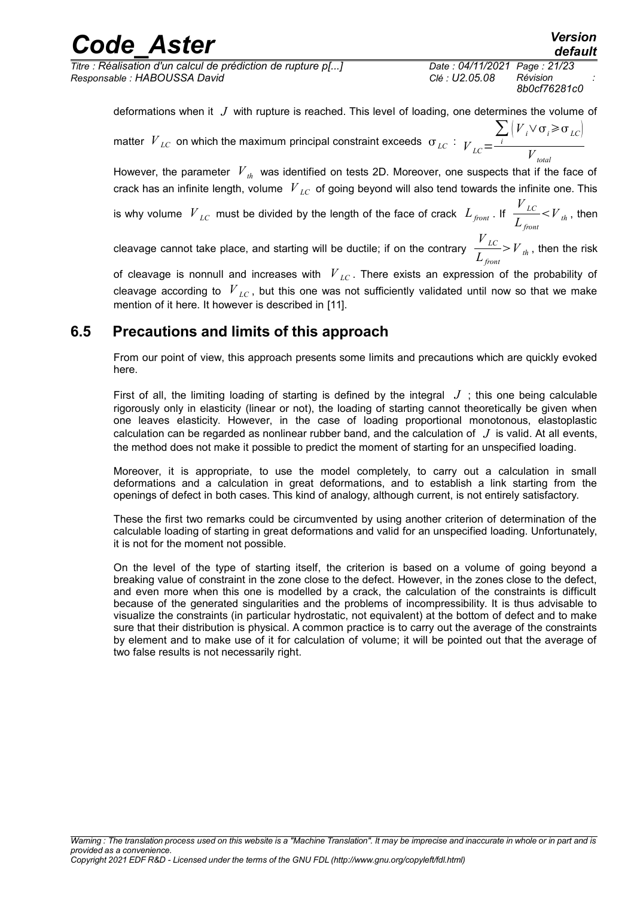# *Code*<br>*Code*<br>*Code Aster Condensign d'un calcul de prédiction de rupture p[...]*<br>*Code : 04/11/2021 Page : 21/23*

*Titre : Réalisation d'un calcul de prédiction de rupture p[...] Date : 04/11/2021 Page : 21/23 Responsable : HABOUSSA David Clé : U2.05.08 Révision :*

*8b0cf76281c0*

 $V_{LC}$ *Lfront* *default*

 $\langle V \rangle$ <sub>*th*</sub>, then

deformations when it *J* with rupture is reached. This level of loading, one determines the volume of matter  $\left. V_{\right. LC}\right.$  on which the maximum principal constraint exceeds  $\left. \sigma_{\right. LC}\right. :\left. _{V_{\left. LC}\right. } \right\vert$  $\sum_{i}$   $\left(V_{i} \vee \sigma_{i} \geq \sigma_{LC}\right)$ 

*Vtotal* However, the parameter  $V_{th}$  was identified on tests 2D. Moreover, one suspects that if the face of crack has an infinite length, volume *V LC* of going beyond will also tend towards the infinite one. This

is why volume  $\left. V\right|_{LC}$  must be divided by the length of the face of crack  $\left. L_{\textit{front}}\right.$  If

cleavage cannot take place, and starting will be ductile; if on the contrary  $\frac{V_{LC}}{I}$ *Lfront*  $V_{th}$ , then the risk

of cleavage is nonnull and increases with *V LC* . There exists an expression of the probability of cleavage according to *V LC* , but this one was not sufficiently validated until now so that we make mention of it here. It however is described in [\[11\].](#page-22-11)

### **6.5 Precautions and limits of this approach**

<span id="page-20-0"></span>From our point of view, this approach presents some limits and precautions which are quickly evoked here.

First of all, the limiting loading of starting is defined by the integral  $J$ ; this one being calculable rigorously only in elasticity (linear or not), the loading of starting cannot theoretically be given when one leaves elasticity. However, in the case of loading proportional monotonous, elastoplastic calculation can be regarded as nonlinear rubber band, and the calculation of *J* is valid. At all events, the method does not make it possible to predict the moment of starting for an unspecified loading.

Moreover, it is appropriate, to use the model completely, to carry out a calculation in small deformations and a calculation in great deformations, and to establish a link starting from the openings of defect in both cases. This kind of analogy, although current, is not entirely satisfactory.

These the first two remarks could be circumvented by using another criterion of determination of the calculable loading of starting in great deformations and valid for an unspecified loading. Unfortunately, it is not for the moment not possible.

On the level of the type of starting itself, the criterion is based on a volume of going beyond a breaking value of constraint in the zone close to the defect. However, in the zones close to the defect, and even more when this one is modelled by a crack, the calculation of the constraints is difficult because of the generated singularities and the problems of incompressibility. It is thus advisable to visualize the constraints (in particular hydrostatic, not equivalent) at the bottom of defect and to make sure that their distribution is physical. A common practice is to carry out the average of the constraints by element and to make use of it for calculation of volume; it will be pointed out that the average of two false results is not necessarily right.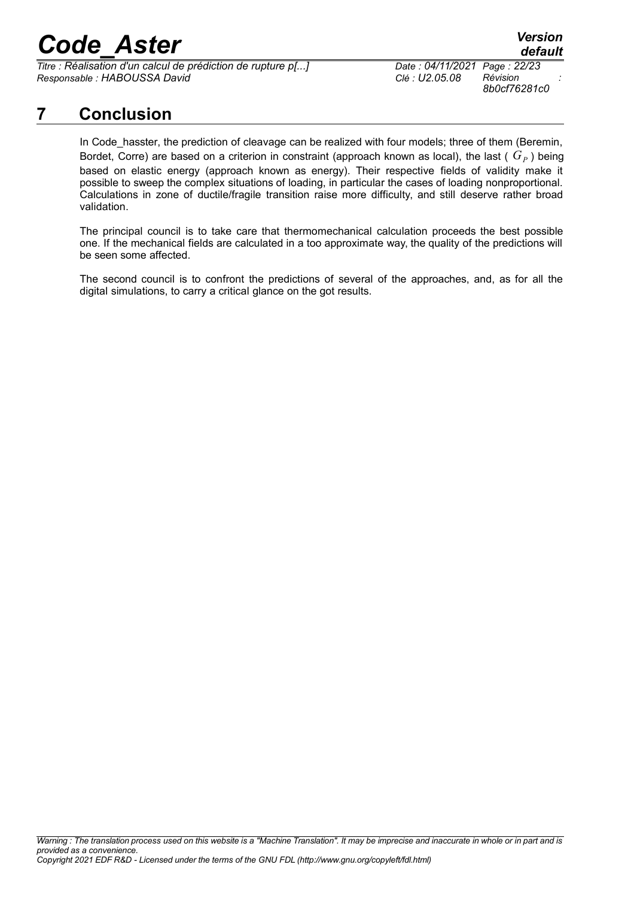*Titre : Réalisation d'un calcul de prédiction de rupture p[...] Date : 04/11/2021 Page : 22/23 Responsable : HABOUSSA David Clé : U2.05.08 Révision :*

*8b0cf76281c0*

## **7 Conclusion**

<span id="page-21-0"></span>In Code\_hasster, the prediction of cleavage can be realized with four models; three of them (Beremin, Bordet, Corre) are based on a criterion in constraint (approach known as local), the last (  $G_P$  ) being based on elastic energy (approach known as energy). Their respective fields of validity make it possible to sweep the complex situations of loading, in particular the cases of loading nonproportional. Calculations in zone of ductile/fragile transition raise more difficulty, and still deserve rather broad validation.

The principal council is to take care that thermomechanical calculation proceeds the best possible one. If the mechanical fields are calculated in a too approximate way, the quality of the predictions will be seen some affected.

The second council is to confront the predictions of several of the approaches, and, as for all the digital simulations, to carry a critical glance on the got results.